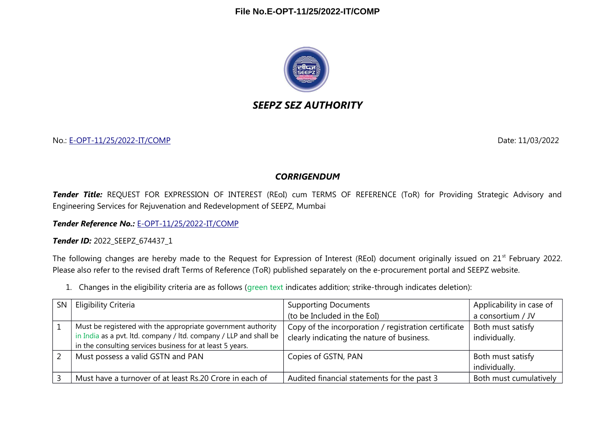

## *SEEPZ SEZ AUTHORITY*

No.: [E-OPT-11/25/2022-IT/COMP](https://eoffice.seepz.co.in/eFile/?x=0RyMnIjbCf7SlH1GJGwnr2w9-v4E5RKc) Date: 11/03/2022

## *CORRIGENDUM*

*Tender Title:* REQUEST FOR EXPRESSION OF INTEREST (REoI) cum TERMS OF REFERENCE (ToR) for Providing Strategic Advisory and Engineering Services for Rejuvenation and Redevelopment of SEEPZ, Mumbai

*Tender Reference No.:* [E-OPT-11/25/2022-IT/COMP](https://eoffice.seepz.co.in/eFile/?x=0RyMnIjbCf7SlH1GJGwnr2w9-v4E5RKc)

*Tender ID:* 2022\_SEEPZ\_674437\_1

The following changes are hereby made to the Request for Expression of Interest (REoI) document originally issued on 21<sup>st</sup> February 2022. Please also refer to the revised draft Terms of Reference (ToR) published separately on the e-procurement portal and SEEPZ website.

1. Changes in the eligibility criteria are as follows (green text indicates addition; strike-through indicates deletion):

| <b>SN</b> | Eligibility Criteria                                                                                                                                                                           | <b>Supporting Documents</b>                                                                        | Applicability in case of           |
|-----------|------------------------------------------------------------------------------------------------------------------------------------------------------------------------------------------------|----------------------------------------------------------------------------------------------------|------------------------------------|
|           |                                                                                                                                                                                                | (to be Included in the EoI)                                                                        | a consortium / JV                  |
|           | Must be registered with the appropriate government authority<br>in India as a pvt. Itd. company / Itd. company / LLP and shall be<br>in the consulting services business for at least 5 years. | Copy of the incorporation / registration certificate<br>clearly indicating the nature of business. | Both must satisfy<br>individually. |
|           | Must possess a valid GSTN and PAN                                                                                                                                                              | Copies of GSTN, PAN                                                                                | Both must satisfy<br>individually. |
|           | Must have a turnover of at least Rs.20 Crore in each of                                                                                                                                        | Audited financial statements for the past 3                                                        | Both must cumulatively             |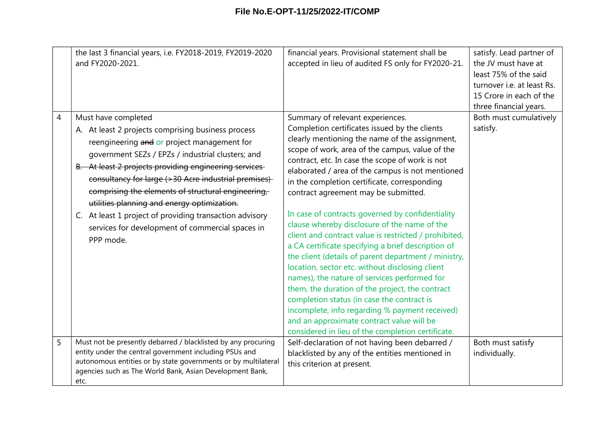|   | the last 3 financial years, i.e. FY2018-2019, FY2019-2020<br>and FY2020-2021.                                                                                                                                                                                                                                                                                                                                                                                                                                                   | financial years. Provisional statement shall be<br>accepted in lieu of audited FS only for FY2020-21.                                                                                                                                                                                                                                                                                                                                                                                                                                                                                                                                                                                                                                                                                                                                                                                                                                                                                                                    | satisfy. Lead partner of<br>the JV must have at<br>least 75% of the said<br>turnover i.e. at least Rs.<br>15 Crore in each of the<br>three financial years. |
|---|---------------------------------------------------------------------------------------------------------------------------------------------------------------------------------------------------------------------------------------------------------------------------------------------------------------------------------------------------------------------------------------------------------------------------------------------------------------------------------------------------------------------------------|--------------------------------------------------------------------------------------------------------------------------------------------------------------------------------------------------------------------------------------------------------------------------------------------------------------------------------------------------------------------------------------------------------------------------------------------------------------------------------------------------------------------------------------------------------------------------------------------------------------------------------------------------------------------------------------------------------------------------------------------------------------------------------------------------------------------------------------------------------------------------------------------------------------------------------------------------------------------------------------------------------------------------|-------------------------------------------------------------------------------------------------------------------------------------------------------------|
| 4 | Must have completed<br>A. At least 2 projects comprising business process<br>reengineering and or project management for<br>government SEZs / EPZs / industrial clusters; and<br>B. At least 2 projects providing engineering services<br>consultancy for large (>30 Acre industrial premises)<br>comprising the elements of structural engineering,<br>utilities planning and energy optimization.<br>C. At least 1 project of providing transaction advisory<br>services for development of commercial spaces in<br>PPP mode. | Summary of relevant experiences.<br>Completion certificates issued by the clients<br>clearly mentioning the name of the assignment,<br>scope of work, area of the campus, value of the<br>contract, etc. In case the scope of work is not<br>elaborated / area of the campus is not mentioned<br>in the completion certificate, corresponding<br>contract agreement may be submitted.<br>In case of contracts governed by confidentiality<br>clause whereby disclosure of the name of the<br>client and contract value is restricted / prohibited,<br>a CA certificate specifying a brief description of<br>the client (details of parent department / ministry,<br>location, sector etc. without disclosing client<br>names), the nature of services performed for<br>them, the duration of the project, the contract<br>completion status (in case the contract is<br>incomplete, info regarding % payment received)<br>and an approximate contract value will be<br>considered in lieu of the completion certificate. | Both must cumulatively<br>satisfy.                                                                                                                          |
| 5 | Must not be presently debarred / blacklisted by any procuring<br>entity under the central government including PSUs and<br>autonomous entities or by state governments or by multilateral<br>agencies such as The World Bank, Asian Development Bank,<br>etc.                                                                                                                                                                                                                                                                   | Self-declaration of not having been debarred /<br>blacklisted by any of the entities mentioned in<br>this criterion at present.                                                                                                                                                                                                                                                                                                                                                                                                                                                                                                                                                                                                                                                                                                                                                                                                                                                                                          | Both must satisfy<br>individually.                                                                                                                          |